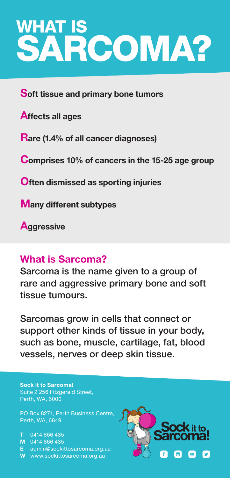# WHAT IS SARCOMA?

Soft tissue and primary bone tumors

Affects all ages

Rare (1.4% of all cancer diagnoses)

Comprises 10% of cancers in the 15-25 age group

**Often dismissed as sporting injuries** 

Many different subtypes

**Aggressive** 

#### What is Sarcoma?

Sarcoma is the name given to a group of rare and aggressive primary bone and soft tissue tumours.

Sarcomas grow in cells that connect or support other kinds of tissue in your body, such as bone, muscle, cartilage, fat, blood vessels, nerves or deep skin tissue.

Sock it to Sarcoma! Suite 2 256 Fitzgerald Street, Perth, WA, 6000

PO Box 8271, Perth Business Centre, Perth, WA, 6849

T 0414 866 435 M 0414 866 435 E admin@sockittosarcoma.org.au W www.sockittosarcoma.org.au